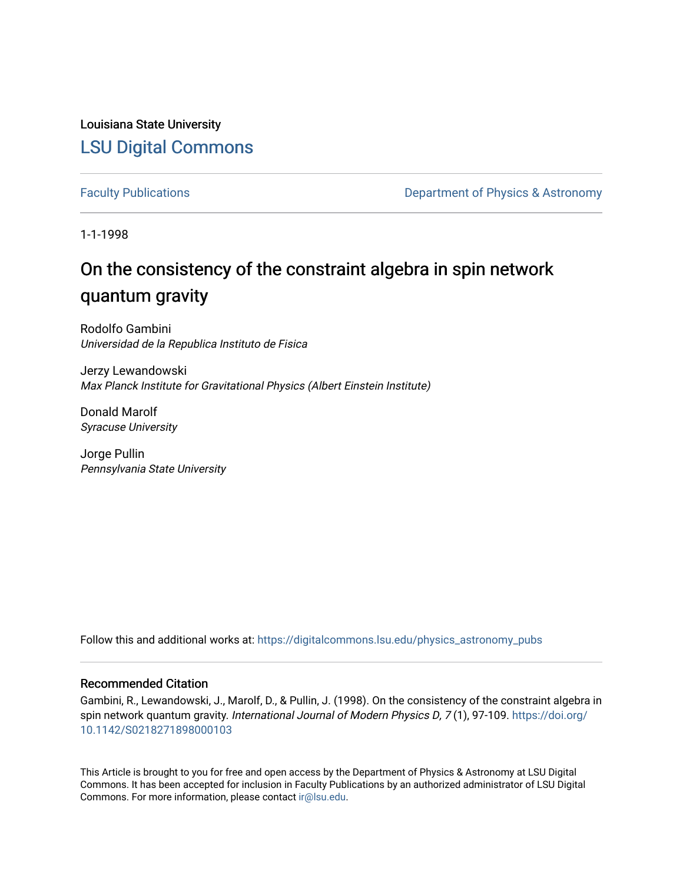Louisiana State University [LSU Digital Commons](https://digitalcommons.lsu.edu/)

[Faculty Publications](https://digitalcommons.lsu.edu/physics_astronomy_pubs) **Exercise 2 and Table 2 and Table 2 and Table 2 and Table 2 and Table 2 and Table 2 and Table 2 and Table 2 and Table 2 and Table 2 and Table 2 and Table 2 and Table 2 and Table 2 and Table 2 and Table** 

1-1-1998

# On the consistency of the constraint algebra in spin network quantum gravity

Rodolfo Gambini Universidad de la Republica Instituto de Fisica

Jerzy Lewandowski Max Planck Institute for Gravitational Physics (Albert Einstein Institute)

Donald Marolf Syracuse University

Jorge Pullin Pennsylvania State University

Follow this and additional works at: [https://digitalcommons.lsu.edu/physics\\_astronomy\\_pubs](https://digitalcommons.lsu.edu/physics_astronomy_pubs?utm_source=digitalcommons.lsu.edu%2Fphysics_astronomy_pubs%2F4427&utm_medium=PDF&utm_campaign=PDFCoverPages) 

### Recommended Citation

Gambini, R., Lewandowski, J., Marolf, D., & Pullin, J. (1998). On the consistency of the constraint algebra in spin network quantum gravity. International Journal of Modern Physics D, 7(1), 97-109. [https://doi.org/](https://doi.org/10.1142/S0218271898000103) [10.1142/S0218271898000103](https://doi.org/10.1142/S0218271898000103)

This Article is brought to you for free and open access by the Department of Physics & Astronomy at LSU Digital Commons. It has been accepted for inclusion in Faculty Publications by an authorized administrator of LSU Digital Commons. For more information, please contact [ir@lsu.edu](mailto:ir@lsu.edu).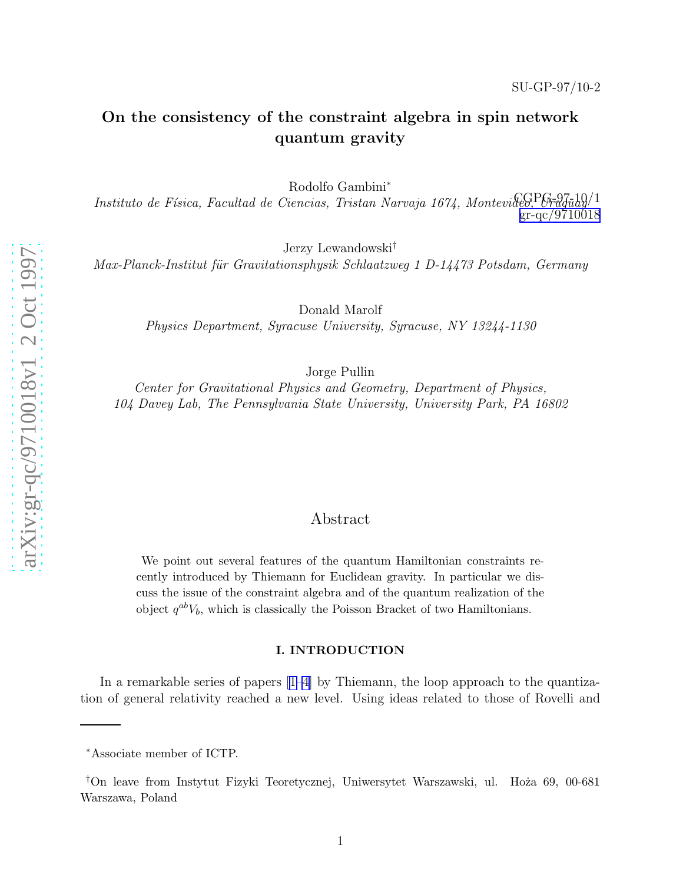# On the consistency of the constraint algebra in spin network quantum gravity

Rodolfo Gambini ∗

Instituto de Física, Facultad de Ciencias, Tristan Narvaja 1674, Montevideo, Vraguay/1  $gr-qc/9710018$ 

Jerzy Lewandowski †

Max-Planck-Institut für Gravitationsphysik Schlaatzweg 1 D-14473 Potsdam, Germany

Donald Marolf

Physics Department, Syracuse University, Syracuse, NY 13244-1130

Jorge Pullin

Center for Gravitational Physics and Geometry, Department of Physics, 104 Davey Lab, The Pennsylvania State University, University Park, PA 16802

## Abstract

We point out several features of the quantum Hamiltonian constraints recently introduced by Thiemann for Euclidean gravity. In particular we discuss the issue of the constraint algebra and of the quantum realization of the object  $q^{ab}V_b$ , which is classically the Poisson Bracket of two Hamiltonians.

#### I. INTRODUCTION

In a remarkable series of papers[[1–4](#page-13-0)] by Thiemann, the loop approach to the quantization of general relativity reached a new level. Using ideas related to those of Rovelli and

<sup>∗</sup>Associate member of ICTP.

<sup>&</sup>lt;sup>†</sup>On leave from Instytut Fizyki Teoretycznej, Uniwersytet Warszawski, ul. Hoża 69, 00-681 Warszawa, Poland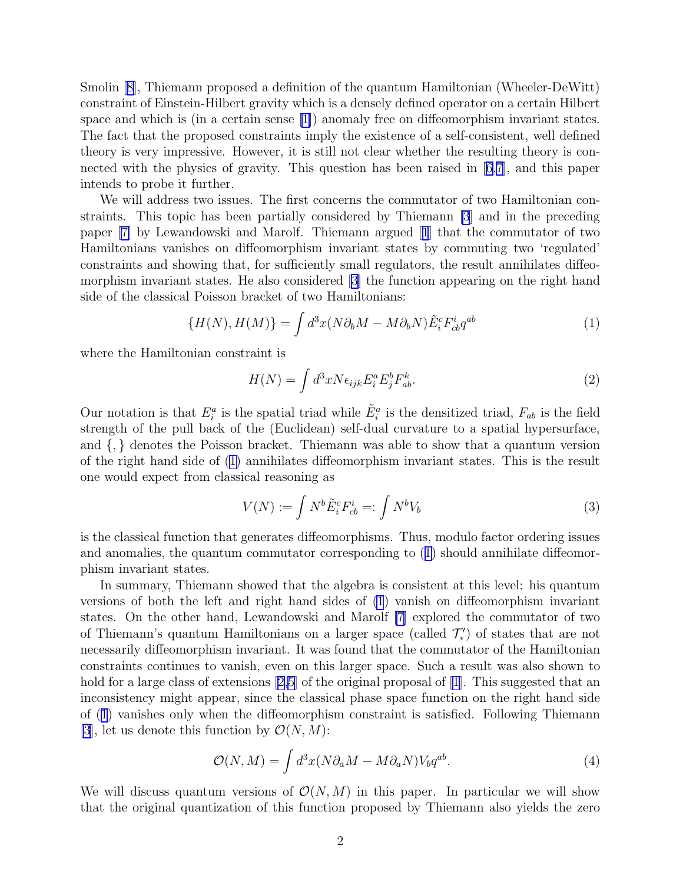<span id="page-2-0"></span>Smolin[[8\]](#page-13-0), Thiemann proposed a definition of the quantum Hamiltonian (Wheeler-DeWitt) constraint of Einstein-Hilbert gravity which is a densely defined operator on a certain Hilbert space and which is (in a certain sense [\[1\]](#page-13-0)) anomaly free on diffeomorphism invariant states. The fact that the proposed constraints imply the existence of a self-consistent, well defined theory is very impressive. However, it is still not clear whether the resulting theory is connected with the physics of gravity. This question has been raised in[[6,7\]](#page-13-0), and this paper intends to probe it further.

We will address two issues. The first concerns the commutator of two Hamiltonian constraints. This topic has been partially considered by Thiemann [\[3](#page-13-0)] and in the preceding paper[[7\]](#page-13-0) by Lewandowski and Marolf. Thiemann argued[[1](#page-13-0)] that the commutator of two Hamiltonians vanishes on diffeomorphism invariant states by commuting two 'regulated' constraints and showing that, for sufficiently small regulators, the result annihilates diffeomorphism invariant states. He also considered [\[3](#page-13-0)] the function appearing on the right hand side of the classical Poisson bracket of two Hamiltonians:

$$
\{H(N), H(M)\} = \int d^3x (N\partial_b M - M\partial_b N) \tilde{E}_i^c F_{cb}^i q^{ab} \tag{1}
$$

where the Hamiltonian constraint is

$$
H(N) = \int d^3x N \epsilon_{ijk} E_i^a E_j^b F_{ab}^k.
$$
 (2)

Our notation is that  $E_i^a$  is the spatial triad while  $\tilde{E}_i^a$  is the densitized triad,  $F_{ab}$  is the field strength of the pull back of the (Euclidean) self-dual curvature to a spatial hypersurface, and {, } denotes the Poisson bracket. Thiemann was able to show that a quantum version of the right hand side of (1) annihilates diffeomorphism invariant states. This is the result one would expect from classical reasoning as

$$
V(N) := \int N^b \tilde{E}_i^c F_{cb}^i =: \int N^b V_b \tag{3}
$$

is the classical function that generates diffeomorphisms. Thus, modulo factor ordering issues and anomalies, the quantum commutator corresponding to  $(1)$  should annihilate diffeomorphism invariant states.

In summary, Thiemann showed that the algebra is consistent at this level: his quantum versions of both the left and right hand sides of (1) vanish on diffeomorphism invariant states. On the other hand, Lewandowski and Marolf [\[7](#page-13-0)] explored the commutator of two of Thiemann's quantum Hamiltonians on a larger space (called  $\mathcal{T}'_*$ ) of states that are not necessarily diffeomorphism invariant. It was found that the commutator of the Hamiltonian constraints continues to vanish, even on this larger space. Such a result was also shown to hold for a large class of extensions [\[2,5](#page-13-0)] of the original proposal of [\[1\]](#page-13-0). This suggested that an inconsistency might appear, since the classical phase space function on the right hand side of (1) vanishes only when the diffeomorphism constraint is satisfied. Following Thiemann [\[3](#page-13-0)], let us denote this function by  $\mathcal{O}(N, M)$ :

$$
\mathcal{O}(N,M) = \int d^3x (N\partial_a M - M\partial_a N) V_b q^{ab}.
$$
 (4)

We will discuss quantum versions of  $\mathcal{O}(N, M)$  in this paper. In particular we will show that the original quantization of this function proposed by Thiemann also yields the zero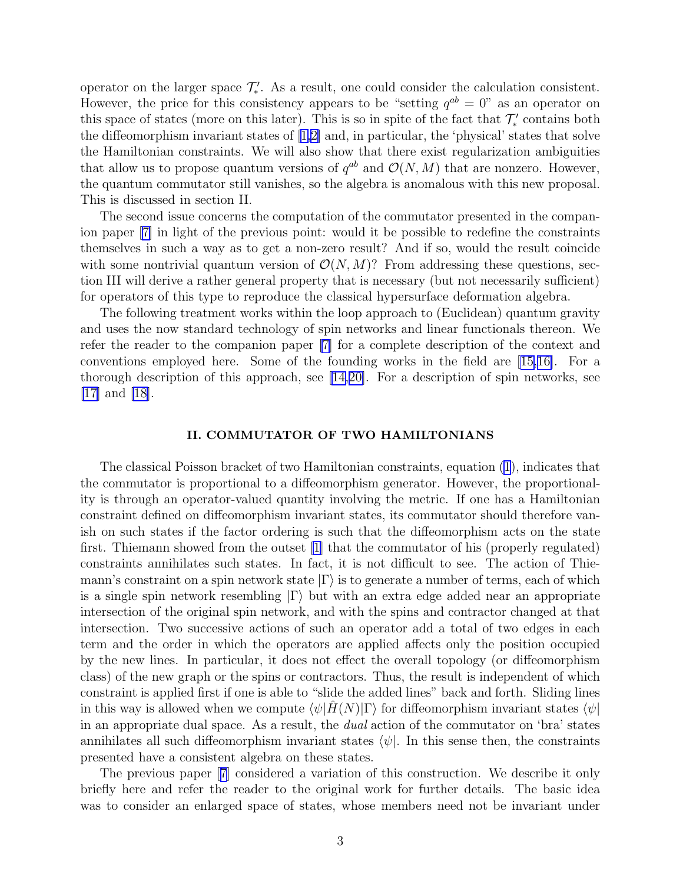operator on the larger space  $\mathcal{T}'_*$ . As a result, one could consider the calculation consistent. However, the price for this consistency appears to be "setting  $q^{ab} = 0$ " as an operator on this space of states (more on this later). This is so in spite of the fact that  $\mathcal{T}'_*$  contains both the diffeomorphism invariant states of[[1,2\]](#page-13-0) and, in particular, the 'physical' states that solve the Hamiltonian constraints. We will also show that there exist regularization ambiguities that allow us to propose quantum versions of  $q^{ab}$  and  $\mathcal{O}(N, M)$  that are nonzero. However, the quantum commutator still vanishes, so the algebra is anomalous with this new proposal. This is discussed in section II.

The second issue concerns the computation of the commutator presented in the companion paper[[7\]](#page-13-0) in light of the previous point: would it be possible to redefine the constraints themselves in such a way as to get a non-zero result? And if so, would the result coincide with some nontrivial quantum version of  $\mathcal{O}(N, M)$ ? From addressing these questions, section III will derive a rather general property that is necessary (but not necessarily sufficient) for operators of this type to reproduce the classical hypersurface deformation algebra.

The following treatment works within the loop approach to (Euclidean) quantum gravity and uses the now standard technology of spin networks and linear functionals thereon. We refer the reader to the companion paper [\[7](#page-13-0)] for a complete description of the context and conventions employed here. Some of the founding works in the field are[[15,16\]](#page-13-0). For a thorough description of this approach, see[[14,20\]](#page-13-0). For a description of spin networks, see [\[17\]](#page-13-0) and [\[18\]](#page-13-0).

#### II. COMMUTATOR OF TWO HAMILTONIANS

The classical Poisson bracket of two Hamiltonian constraints, equation [\(1\)](#page-2-0), indicates that the commutator is proportional to a diffeomorphism generator. However, the proportionality is through an operator-valued quantity involving the metric. If one has a Hamiltonian constraint defined on diffeomorphism invariant states, its commutator should therefore vanish on such states if the factor ordering is such that the diffeomorphism acts on the state first. Thiemann showed from the outset [\[1](#page-13-0)] that the commutator of his (properly regulated) constraints annihilates such states. In fact, it is not difficult to see. The action of Thiemann's constraint on a spin network state  $|\Gamma\rangle$  is to generate a number of terms, each of which is a single spin network resembling  $|\Gamma\rangle$  but with an extra edge added near an appropriate intersection of the original spin network, and with the spins and contractor changed at that intersection. Two successive actions of such an operator add a total of two edges in each term and the order in which the operators are applied affects only the position occupied by the new lines. In particular, it does not effect the overall topology (or diffeomorphism class) of the new graph or the spins or contractors. Thus, the result is independent of which constraint is applied first if one is able to "slide the added lines" back and forth. Sliding lines in this way is allowed when we compute  $\langle \psi | H(N)| \Gamma \rangle$  for diffeomorphism invariant states  $\langle \psi |$ in an appropriate dual space. As a result, the dual action of the commutator on 'bra' states annihilates all such diffeomorphism invariant states  $\langle \psi |$ . In this sense then, the constraints presented have a consistent algebra on these states.

The previous paper[[7](#page-13-0)] considered a variation of this construction. We describe it only briefly here and refer the reader to the original work for further details. The basic idea was to consider an enlarged space of states, whose members need not be invariant under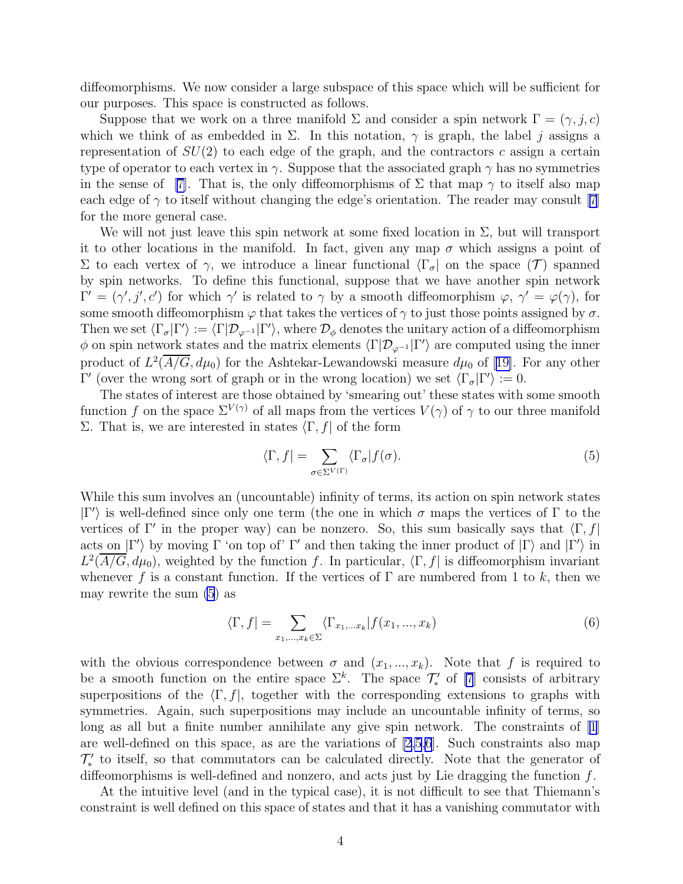diffeomorphisms. We now consider a large subspace of this space which will be sufficient for our purposes. This space is constructed as follows.

Suppose that we work on a three manifold  $\Sigma$  and consider a spin network  $\Gamma = (\gamma, j, c)$ which we think of as embedded in  $\Sigma$ . In this notation,  $\gamma$  is graph, the label j assigns a representation of  $SU(2)$  to each edge of the graph, and the contractors c assign a certain type of operator to each vertex in  $\gamma$ . Suppose that the associated graph  $\gamma$  has no symmetries in the sense of [\[7\]](#page-13-0). That is, the only diffeomorphisms of  $\Sigma$  that map  $\gamma$  to itself also map each edge of  $\gamma$  to itself without changing the edge's orientation. The reader may consult [\[7\]](#page-13-0) for the more general case.

We will not just leave this spin network at some fixed location in  $\Sigma$ , but will transport it to other locations in the manifold. In fact, given any map  $\sigma$  which assigns a point of Σ to each vertex of  $\gamma$ , we introduce a linear functional  $\langle \Gamma_{\sigma} |$  on the space  $(\mathcal{T})$  spanned by spin networks. To define this functional, suppose that we have another spin network  $\Gamma' = (\gamma', j', c')$  for which  $\gamma'$  is related to  $\gamma$  by a smooth diffeomorphism  $\varphi, \gamma' = \varphi(\gamma)$ , for some smooth diffeomorphism  $\varphi$  that takes the vertices of  $\gamma$  to just those points assigned by  $\sigma$ . Then we set  $\langle \Gamma_{\sigma} | \Gamma' \rangle := \langle \Gamma | \mathcal{D}_{\varphi^{-1}} | \Gamma' \rangle$ , where  $\mathcal{D}_{\phi}$  denotes the unitary action of a diffeomorphism  $\phi$  on spin network states and the matrix elements  $\langle \Gamma | \mathcal{D}_{\varphi^{-1}} | \Gamma' \rangle$  are computed using the inner productof  $L^2(\overline{A/G}, d\mu_0)$  for the Ashtekar-Lewandowski measure  $d\mu_0$  of [[19\]](#page-13-0). For any other Γ' (over the wrong sort of graph or in the wrong location) we set  $\langle \Gamma_{\sigma} | \Gamma' \rangle := 0$ .

The states of interest are those obtained by 'smearing out' these states with some smooth function f on the space  $\Sigma^{V(\gamma)}$  of all maps from the vertices  $V(\gamma)$  of  $\gamma$  to our three manifold Σ. That is, we are interested in states  $\langle \Gamma, f|$  of the form

$$
\langle \Gamma, f \vert = \sum_{\sigma \in \Sigma^{V(\Gamma)}} \langle \Gamma_{\sigma} \vert f(\sigma). \tag{5}
$$

While this sum involves an (uncountable) infinity of terms, its action on spin network states  $|\Gamma'\rangle$  is well-defined since only one term (the one in which σ maps the vertices of Γ to the vertices of Γ' in the proper way) can be nonzero. So, this sum basically says that  $\langle \Gamma, f |$ acts on  $|\Gamma'\rangle$  by moving  $\Gamma$  'on top of'  $\Gamma'$  and then taking the inner product of  $|\Gamma\rangle$  and  $|\Gamma'\rangle$  in  $L^2(\overline{A/G}, d\mu_0)$ , weighted by the function f. In particular,  $\langle \Gamma, f |$  is diffeomorphism invariant whenever f is a constant function. If the vertices of  $\Gamma$  are numbered from 1 to k, then we may rewrite the sum (5) as

$$
\langle \Gamma, f \vert = \sum_{x_1, \dots, x_k \in \Sigma} \langle \Gamma_{x_1, \dots, x_k} \vert f(x_1, \dots, x_k) \rangle
$$
 (6)

with the obvious correspondence between  $\sigma$  and  $(x_1, ..., x_k)$ . Note that f is required to be a smooth function on the entire space  $\Sigma^k$ . The space  $\mathcal{T}'_*$  of [\[7](#page-13-0)] consists of arbitrary superpositions of the  $\langle \Gamma, f|$ , together with the corresponding extensions to graphs with symmetries. Again, such superpositions may include an uncountable infinity of terms, so long as all but a finite number annihilate any give spin network. The constraints of  $|1|$ are well-defined on this space, as are the variations of  $[2,5,6]$ . Such constraints also map  $\mathcal{T}'_*$  to itself, so that commutators can be calculated directly. Note that the generator of diffeomorphisms is well-defined and nonzero, and acts just by Lie dragging the function  $f$ .

At the intuitive level (and in the typical case), it is not difficult to see that Thiemann's constraint is well defined on this space of states and that it has a vanishing commutator with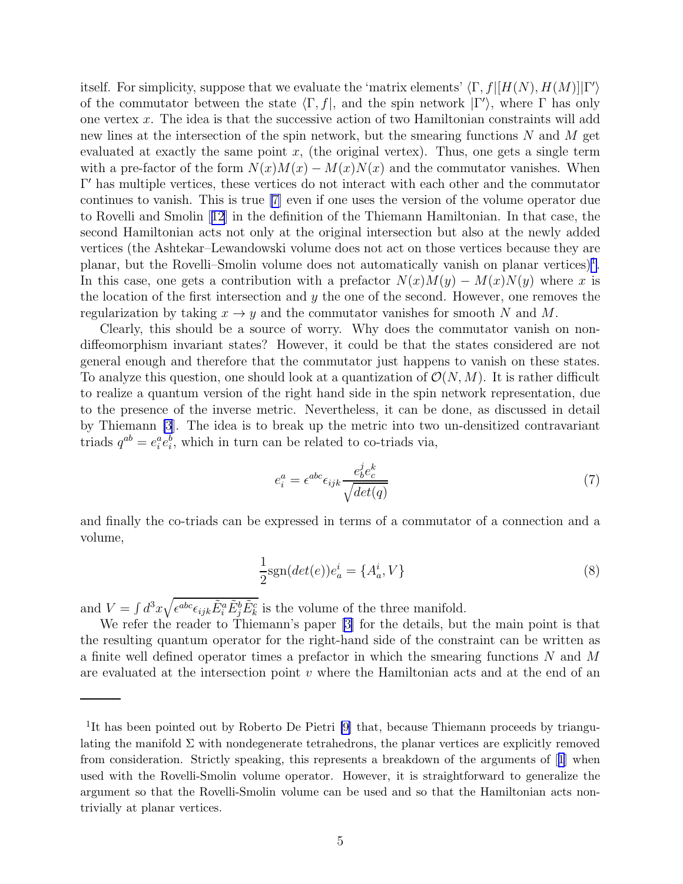<span id="page-5-0"></span>itself. For simplicity, suppose that we evaluate the 'matrix elements'  $\langle \Gamma, f | [H(N), H(M)] | \Gamma' \rangle$ of the commutator between the state  $\langle \Gamma, f |$ , and the spin network  $| \Gamma' \rangle$ , where  $\Gamma$  has only one vertex x. The idea is that the successive action of two Hamiltonian constraints will add new lines at the intersection of the spin network, but the smearing functions  $N$  and  $M$  get evaluated at exactly the same point  $x$ , (the original vertex). Thus, one gets a single term with a pre-factor of the form  $N(x)M(x) - M(x)N(x)$  and the commutator vanishes. When Γ ′ has multiple vertices, these vertices do not interact with each other and the commutator continues to vanish. This is true [\[7\]](#page-13-0) even if one uses the version of the volume operator due to Rovelli and Smolin[[12](#page-13-0)] in the definition of the Thiemann Hamiltonian. In that case, the second Hamiltonian acts not only at the original intersection but also at the newly added vertices (the Ashtekar–Lewandowski volume does not act on those vertices because they are planar, but the Rovelli–Smolin volume does not automatically vanish on planar vertices)<sup>1</sup>. In this case, one gets a contribution with a prefactor  $N(x)M(y) - M(x)N(y)$  where x is the location of the first intersection and  $y$  the one of the second. However, one removes the regularization by taking  $x \to y$  and the commutator vanishes for smooth N and M.

Clearly, this should be a source of worry. Why does the commutator vanish on nondiffeomorphism invariant states? However, it could be that the states considered are not general enough and therefore that the commutator just happens to vanish on these states. To analyze this question, one should look at a quantization of  $\mathcal{O}(N, M)$ . It is rather difficult to realize a quantum version of the right hand side in the spin network representation, due to the presence of the inverse metric. Nevertheless, it can be done, as discussed in detail by Thiemann [\[3](#page-13-0)]. The idea is to break up the metric into two un-densitized contravariant triads  $q^{ab} = e_i^a e_i^b$ , which in turn can be related to co-triads via,

$$
e_i^a = \epsilon^{abc} \epsilon_{ijk} \frac{e_b^j e_c^k}{\sqrt{det(q)}}
$$
\n<sup>(7)</sup>

and finally the co-triads can be expressed in terms of a commutator of a connection and a volume,

$$
\frac{1}{2}\text{sgn}(det(e))e_a^i = \{A_a^i, V\}
$$
\n(8)

and  $V = \int d^3x \sqrt{\epsilon^{abc}\epsilon_{ijk}\tilde{E}^a_i\tilde{E}^b_j\tilde{E}^c_k}$  is the volume of the three manifold.

We refer the reader to Thiemann's paper [\[3\]](#page-13-0) for the details, but the main point is that the resulting quantum operator for the right-hand side of the constraint can be written as a finite well defined operator times a prefactor in which the smearing functions N and M are evaluated at the intersection point  $v$  where the Hamiltonian acts and at the end of an

<sup>&</sup>lt;sup>1</sup>It has been pointed out by Roberto De Pietri [\[9\]](#page-13-0) that, because Thiemann proceeds by triangulating the manifold  $\Sigma$  with nondegenerate tetrahedrons, the planar vertices are explicitly removed from consideration. Strictly speaking, this represents a breakdown of the arguments of[[1](#page-13-0)] when used with the Rovelli-Smolin volume operator. However, it is straightforward to generalize the argument so that the Rovelli-Smolin volume can be used and so that the Hamiltonian acts nontrivially at planar vertices.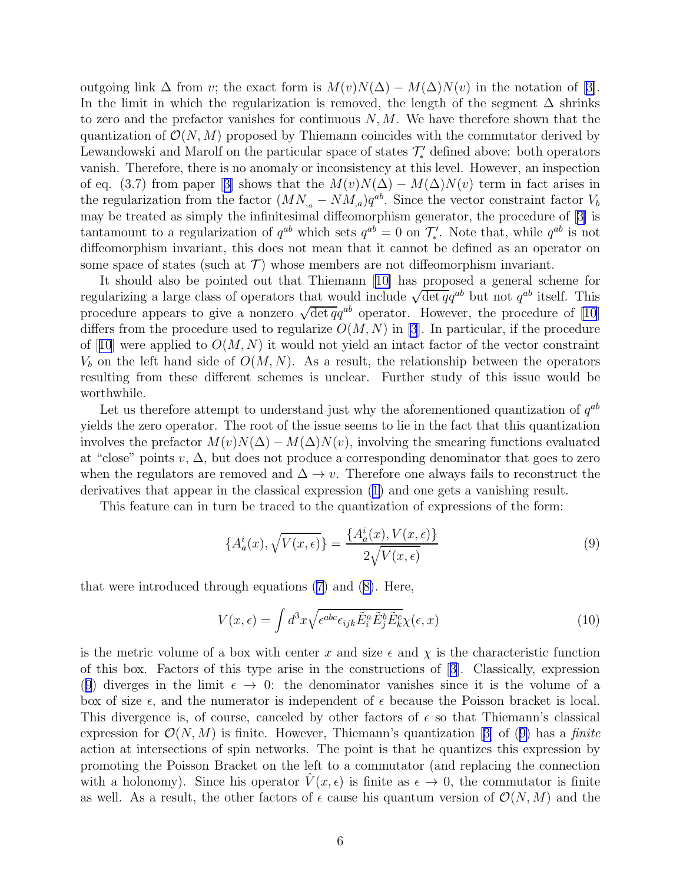<span id="page-6-0"></span>outgoinglink  $\Delta$  from v; the exact form is  $M(v)N(\Delta) - M(\Delta)N(v)$  in the notation of [[3\]](#page-13-0). In the limit in which the regularization is removed, the length of the segment  $\Delta$  shrinks to zero and the prefactor vanishes for continuous  $N, M$ . We have therefore shown that the quantization of  $\mathcal{O}(N, M)$  proposed by Thiemann coincides with the commutator derived by Lewandowski and Marolf on the particular space of states  $\mathcal{T}'_*$  defined above: both operators vanish. Therefore, there is no anomaly or inconsistency at this level. However, an inspection ofeq. (3.7) from paper [[3\]](#page-13-0) shows that the  $M(v)N(\Delta) - M(\Delta)N(v)$  term in fact arises in the regularization from the factor  $(MN_{a}-NM_{a})q^{ab}$ . Since the vector constraint factor  $V_{b}$ may be treated as simply the infinitesimal diffeomorphism generator, the procedure of[[3\]](#page-13-0) is tantamount to a regularization of  $q^{ab}$  which sets  $q^{ab} = 0$  on  $\mathcal{T}'_*$ . Note that, while  $q^{ab}$  is not diffeomorphism invariant, this does not mean that it cannot be defined as an operator on some space of states (such at  $\mathcal{T}$ ) whose members are not diffeomorphism invariant.

It should also be pointed out that Thiemann[[10\]](#page-13-0) has proposed a general scheme for regularizing a large class of operators that would include  $\sqrt{\det q}q^{ab}$  but not  $q^{ab}$  itself. This procedure appears to give a nonzero  $\sqrt{\det q} q^{ab}$  operator. However, the procedure of [\[10](#page-13-0)] differs from the procedure used to regularize  $O(M, N)$  in [\[3](#page-13-0)]. In particular, if the procedure of[[10](#page-13-0)] were applied to  $O(M, N)$  it would not yield an intact factor of the vector constraint  $V<sub>b</sub>$  on the left hand side of  $O(M, N)$ . As a result, the relationship between the operators resulting from these different schemes is unclear. Further study of this issue would be worthwhile.

Let us therefore attempt to understand just why the aforementioned quantization of  $q^{ab}$ yields the zero operator. The root of the issue seems to lie in the fact that this quantization involves the prefactor  $M(v)N(\Delta) - M(\Delta)N(v)$ , involving the smearing functions evaluated at "close" points v,  $\Delta$ , but does not produce a corresponding denominator that goes to zero when the regulators are removed and  $\Delta \rightarrow v$ . Therefore one always fails to reconstruct the derivatives that appear in the classical expression [\(1\)](#page-2-0) and one gets a vanishing result.

This feature can in turn be traced to the quantization of expressions of the form:

$$
\{A_a^i(x), \sqrt{V(x,\epsilon)}\} = \frac{\{A_a^i(x), V(x,\epsilon)\}}{2\sqrt{V(x,\epsilon)}}
$$
\n(9)

that were introduced through equations [\(7\)](#page-5-0) and([8\)](#page-5-0). Here,

$$
V(x,\epsilon) = \int d^3x \sqrt{\epsilon^{abc}\epsilon_{ijk}\tilde{E}_i^a\tilde{E}_j^b\tilde{E}_k^c}\chi(\epsilon, x)
$$
 (10)

is the metric volume of a box with center x and size  $\epsilon$  and  $\chi$  is the characteristic function of this box. Factors of this type arise in the constructions of[[3](#page-13-0)]. Classically, expression (9) diverges in the limit  $\epsilon \to 0$ : the denominator vanishes since it is the volume of a box of size  $\epsilon$ , and the numerator is independent of  $\epsilon$  because the Poisson bracket is local. This divergence is, of course, canceled by other factors of  $\epsilon$  so that Thiemann's classical expressionfor  $\mathcal{O}(N, M)$  is finite. However, Thiemann's quantization [[3\]](#page-13-0) of (9) has a *finite* action at intersections of spin networks. The point is that he quantizes this expression by promoting the Poisson Bracket on the left to a commutator (and replacing the connection with a holonomy). Since his operator  $\hat{V}(x, \epsilon)$  is finite as  $\epsilon \to 0$ , the commutator is finite as well. As a result, the other factors of  $\epsilon$  cause his quantum version of  $\mathcal{O}(N, M)$  and the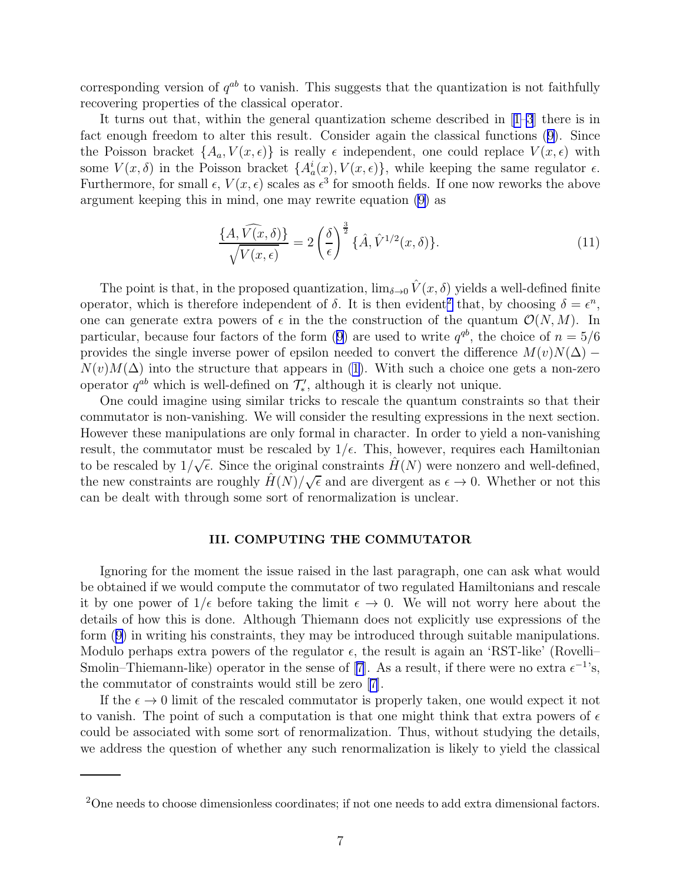corresponding version of  $q^{ab}$  to vanish. This suggests that the quantization is not faithfully recovering properties of the classical operator.

It turns out that, within the general quantization scheme described in[[1–3](#page-13-0)] there is in fact enough freedom to alter this result. Consider again the classical functions([9\)](#page-6-0). Since the Poisson bracket  $\{A_a, V(x, \epsilon)\}\$ is really  $\epsilon$  independent, one could replace  $V(x, \epsilon)$  with some  $V(x, \delta)$  in the Poisson bracket  $\{A^i_a(x), V(x, \epsilon)\}\$ , while keeping the same regulator  $\epsilon$ . Furthermore, for small  $\epsilon$ ,  $V(x,\epsilon)$  scales as  $\epsilon^3$  for smooth fields. If one now reworks the above argument keeping this in mind, one may rewrite equation [\(9](#page-6-0)) as

$$
\frac{\{A,\widehat{V(x,\delta)}\}}{\sqrt{V(x,\epsilon)}} = 2\left(\frac{\delta}{\epsilon}\right)^{\frac{3}{2}}\{\hat{A},\hat{V}^{1/2}(x,\delta)\}.
$$
\n(11)

The point is that, in the proposed quantization,  $\lim_{\delta \to 0} \hat{V}(x, \delta)$  yields a well-defined finite operator, which is therefore independent of  $\delta$ . It is then evident<sup>2</sup> that, by choosing  $\delta = \epsilon^n$ , one can generate extra powers of  $\epsilon$  in the the construction of the quantum  $\mathcal{O}(N, M)$ . In particular,because four factors of the form ([9\)](#page-6-0) are used to write  $q^{qb}$ , the choice of  $n = 5/6$ provides the single inverse power of epsilon needed to convert the difference  $M(v)N(\Delta)$  –  $N(v)M(\Delta)$  into the structure that appears in [\(1](#page-2-0)). With such a choice one gets a non-zero operator  $q^{ab}$  which is well-defined on  $\mathcal{T}'_*$ , although it is clearly not unique.

One could imagine using similar tricks to rescale the quantum constraints so that their commutator is non-vanishing. We will consider the resulting expressions in the next section. However these manipulations are only formal in character. In order to yield a non-vanishing result, the commutator must be rescaled by  $1/\epsilon$ . This, however, requires each Hamiltonian to be rescaled by  $1/\sqrt{\epsilon}$ . Since the original constraints  $\hat{H}(N)$  were nonzero and well-defined, the new constraints are roughly  $\hat{H}(N)/\sqrt{\epsilon}$  and are divergent as  $\epsilon \to 0$ . Whether or not this can be dealt with through some sort of renormalization is unclear.

#### III. COMPUTING THE COMMUTATOR

Ignoring for the moment the issue raised in the last paragraph, one can ask what would be obtained if we would compute the commutator of two regulated Hamiltonians and rescale it by one power of  $1/\epsilon$  before taking the limit  $\epsilon \to 0$ . We will not worry here about the details of how this is done. Although Thiemann does not explicitly use expressions of the form([9\)](#page-6-0) in writing his constraints, they may be introduced through suitable manipulations. Modulo perhaps extra powers of the regulator  $\epsilon$ , the result is again an 'RST-like' (Rovelli– Smolin–Thiemann-like)operator in the sense of [[7\]](#page-13-0). As a result, if there were no extra  $\epsilon^{-1}$ 's, the commutator of constraints would still be zero [\[7\]](#page-13-0).

If the  $\epsilon \to 0$  limit of the rescaled commutator is properly taken, one would expect it not to vanish. The point of such a computation is that one might think that extra powers of  $\epsilon$ could be associated with some sort of renormalization. Thus, without studying the details, we address the question of whether any such renormalization is likely to yield the classical

<sup>2</sup>One needs to choose dimensionless coordinates; if not one needs to add extra dimensional factors.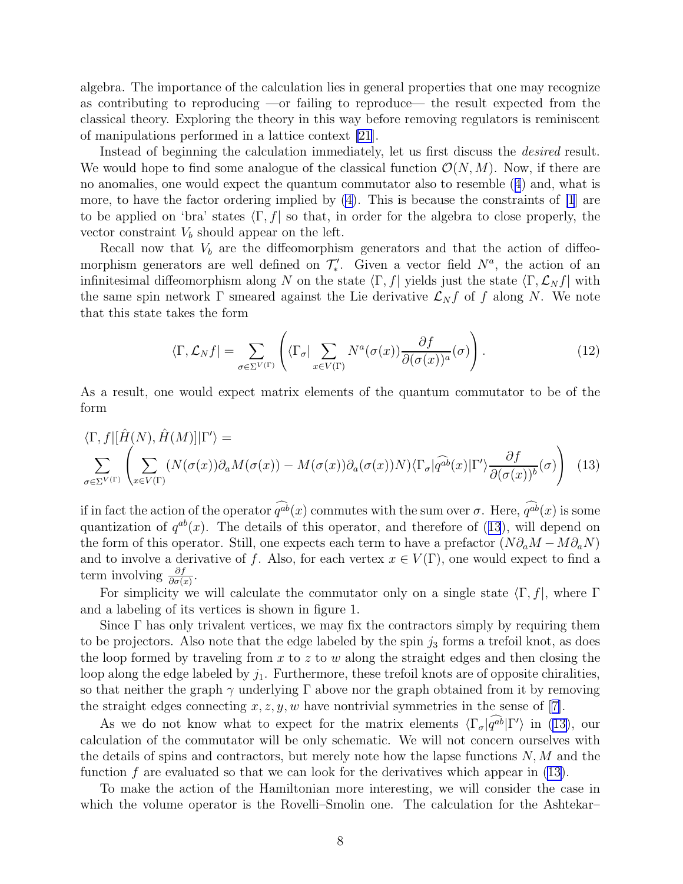<span id="page-8-0"></span>algebra. The importance of the calculation lies in general properties that one may recognize as contributing to reproducing —or failing to reproduce— the result expected from the classical theory. Exploring the theory in this way before removing regulators is reminiscent of manipulations performed in a lattice context [\[21](#page-13-0)].

Instead of beginning the calculation immediately, let us first discuss the desired result. We would hope to find some analogue of the classical function  $\mathcal{O}(N, M)$ . Now, if there are no anomalies, one would expect the quantum commutator also to resemble([4](#page-2-0)) and, what is more, to have the factor ordering implied by  $(4)$ . This is because the constraints of  $|1|$  are to be applied on 'bra' states  $\langle \Gamma, f |$  so that, in order for the algebra to close properly, the vector constraint  $V_b$  should appear on the left.

Recall now that  $V<sub>b</sub>$  are the diffeomorphism generators and that the action of diffeomorphism generators are well defined on  $\mathcal{T}'_*$ . Given a vector field  $N^a$ , the action of an infinitesimal diffeomorphism along N on the state  $\langle \Gamma, f|$  yields just the state  $\langle \Gamma, \mathcal{L}_N f|$  with the same spin network  $\Gamma$  smeared against the Lie derivative  $\mathcal{L}_N f$  of f along N. We note that this state takes the form

$$
\langle \Gamma, \mathcal{L}_N f | = \sum_{\sigma \in \Sigma^{V(\Gamma)}} \left( \langle \Gamma_{\sigma} | \sum_{x \in V(\Gamma)} N^a(\sigma(x)) \frac{\partial f}{\partial (\sigma(x))^a}(\sigma) \right). \tag{12}
$$

As a result, one would expect matrix elements of the quantum commutator to be of the form

$$
\langle \Gamma, f | [\hat{H}(N), \hat{H}(M)] | \Gamma' \rangle =
$$
  

$$
\sum_{\sigma \in \Sigma^{V(\Gamma)}} \left( \sum_{x \in V(\Gamma)} (N(\sigma(x))\partial_a M(\sigma(x)) - M(\sigma(x))\partial_a (\sigma(x))N) \langle \Gamma_{\sigma} | \widehat{q^{ab}}(x) | \Gamma' \rangle \frac{\partial f}{\partial (\sigma(x))^{b}}(\sigma) \right)
$$
(13)

if in fact the action of the operator  $\widehat{q^{ab}}(x)$  commutes with the sum over  $\sigma$ . Here,  $\widehat{q^{ab}}(x)$  is some quantization of  $q^{ab}(x)$ . The details of this operator, and therefore of (13), will depend on the form of this operator. Still, one expects each term to have a prefactor  $(N\partial_a M - M\partial_a N)$ and to involve a derivative of f. Also, for each vertex  $x \in V(\Gamma)$ , one would expect to find a term involving  $\frac{\partial f}{\partial \sigma(x)}$ .

For simplicity we will calculate the commutator only on a single state  $\langle \Gamma, f|$ , where Γ and a labeling of its vertices is shown in figure 1.

Since  $\Gamma$  has only trivalent vertices, we may fix the contractors simply by requiring them to be projectors. Also note that the edge labeled by the spin  $j_3$  forms a trefoil knot, as does the loop formed by traveling from  $x$  to  $z$  to  $w$  along the straight edges and then closing the loop along the edge labeled by  $j_1$ . Furthermore, these trefoil knots are of opposite chiralities, so that neither the graph  $\gamma$  underlying  $\Gamma$  above nor the graph obtained from it by removing thestraight edges connecting  $x, z, y, w$  have nontrivial symmetries in the sense of [[7\]](#page-13-0).

As we do not know what to expect for the matrix elements  $\langle \Gamma_{\sigma} | q^{ab} | \Gamma' \rangle$  in (13), our calculation of the commutator will be only schematic. We will not concern ourselves with the details of spins and contractors, but merely note how the lapse functions  $N$ ,  $M$  and the function  $f$  are evaluated so that we can look for the derivatives which appear in (13).

To make the action of the Hamiltonian more interesting, we will consider the case in which the volume operator is the Rovelli–Smolin one. The calculation for the Ashtekar–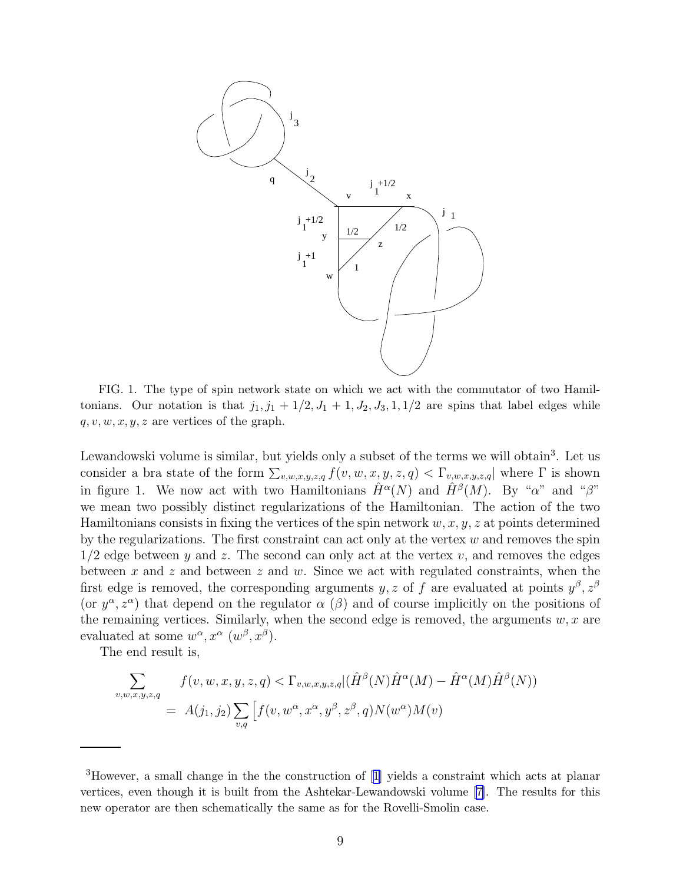<span id="page-9-0"></span>

FIG. 1. The type of spin network state on which we act with the commutator of two Hamiltonians. Our notation is that  $j_1, j_1 + 1/2, J_1 + 1, J_2, J_3, 1, 1/2$  are spins that label edges while  $q, v, w, x, y, z$  are vertices of the graph.

Lewandowski volume is similar, but yields only a subset of the terms we will obtain<sup>3</sup>. Let us consider a bra state of the form  $\sum_{v,w,x,y,z,q} f(v,w,x,y,z,q) < \Gamma_{v,w,x,y,z,q}$  where  $\Gamma$  is shown in figure 1. We now act with two Hamiltonians  $\hat{H}^{\alpha}(N)$  and  $\hat{H}^{\beta}(M)$ . By "a" and " $\beta$ " we mean two possibly distinct regularizations of the Hamiltonian. The action of the two Hamiltonians consists in fixing the vertices of the spin network  $w, x, y, z$  at points determined by the regularizations. The first constraint can act only at the vertex  $w$  and removes the spin  $1/2$  edge between y and z. The second can only act at the vertex v, and removes the edges between x and z and between z and w. Since we act with regulated constraints, when the first edge is removed, the corresponding arguments y, z of f are evaluated at points  $y^{\beta}, z^{\beta}$ (or  $y^{\alpha}, z^{\alpha}$ ) that depend on the regulator  $\alpha$  ( $\beta$ ) and of course implicitly on the positions of the remaining vertices. Similarly, when the second edge is removed, the arguments  $w, x$  are evaluated at some  $w^{\alpha}, x^{\alpha}$   $(w^{\beta}, x^{\beta})$ .

The end result is,

$$
\sum_{v,w,x,y,z,q} f(v,w,x,y,z,q) < \Gamma_{v,w,x,y,z,q} \left( \hat{H}^{\beta}(N) \hat{H}^{\alpha}(M) - \hat{H}^{\alpha}(M) \hat{H}^{\beta}(N) \right)
$$
\n
$$
= A(j_1, j_2) \sum_{v,q} \left[ f(v, w^{\alpha}, x^{\alpha}, y^{\beta}, z^{\beta}, q) N(w^{\alpha}) M(v) \right]
$$

<sup>3</sup>However, a small change in the the construction of[[1](#page-13-0)] yields a constraint which acts at planar vertices, even though it is built from the Ashtekar-Lewandowski volume [\[7\]](#page-13-0). The results for this new operator are then schematically the same as for the Rovelli-Smolin case.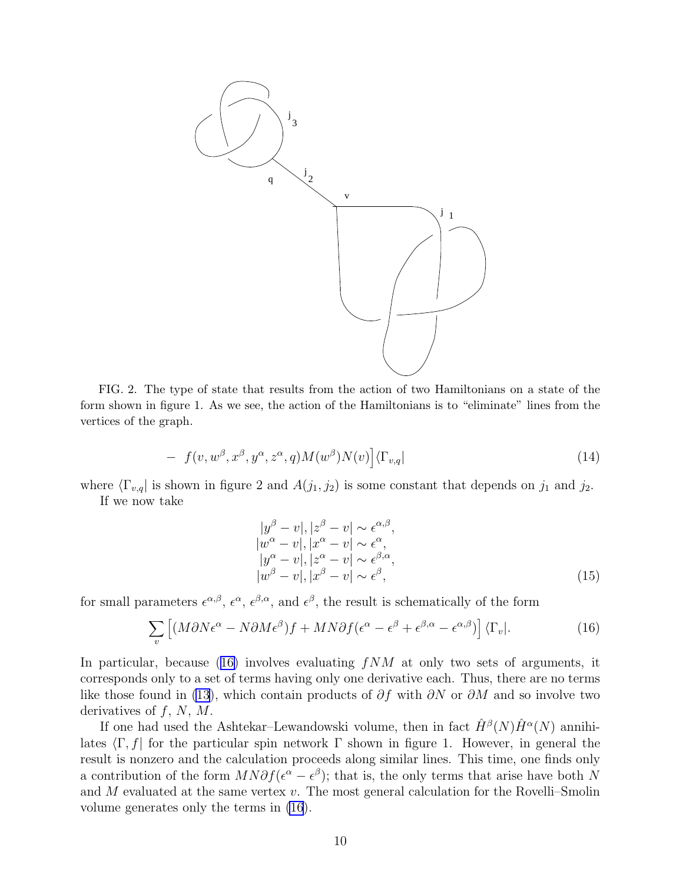<span id="page-10-0"></span>

FIG. 2. The type of state that results from the action of two Hamiltonians on a state of the form shown in figure 1. As we see, the action of the Hamiltonians is to "eliminate" lines from the vertices of the graph.

$$
- f(v, w^{\beta}, x^{\beta}, y^{\alpha}, z^{\alpha}, q)M(w^{\beta})N(v)]\langle \Gamma_{v,q}|
$$
\n(14)

where  $\langle \Gamma_{v,q} |$  is shown in figure 2 and  $A(j_1, j_2)$  is some constant that depends on  $j_1$  and  $j_2$ .

If we now take

$$
|y^{\beta} - v|, |z^{\beta} - v| \sim \epsilon^{\alpha, \beta},
$$
  
\n
$$
|w^{\alpha} - v|, |x^{\alpha} - v| \sim \epsilon^{\alpha},
$$
  
\n
$$
|y^{\alpha} - v|, |z^{\alpha} - v| \sim \epsilon^{\beta, \alpha},
$$
  
\n
$$
|w^{\beta} - v|, |x^{\beta} - v| \sim \epsilon^{\beta},
$$
\n(15)

for small parameters  $\epsilon^{\alpha,\beta}, \epsilon^{\alpha}, \epsilon^{\beta,\alpha},$  and  $\epsilon^{\beta}$ , the result is schematically of the form

$$
\sum_{v} \left[ (M\partial N\epsilon^{\alpha} - N\partial M\epsilon^{\beta})f + MN\partial f(\epsilon^{\alpha} - \epsilon^{\beta} + \epsilon^{\beta,\alpha} - \epsilon^{\alpha,\beta}) \right] \langle \Gamma_v |. \tag{16}
$$

In particular, because (16) involves evaluating  $fNM$  at only two sets of arguments, it corresponds only to a set of terms having only one derivative each. Thus, there are no terms like those found in [\(13](#page-8-0)), which contain products of  $\partial f$  with  $\partial N$  or  $\partial M$  and so involve two derivatives of  $f, N, M$ .

If one had used the Ashtekar–Lewandowski volume, then in fact  $\hat{H}^{\beta}(N)\hat{H}^{\alpha}(N)$  annihilates  $\langle \Gamma, f |$  for the particular spin network  $\Gamma$  shown in figure 1. However, in general the result is nonzero and the calculation proceeds along similar lines. This time, one finds only a contribution of the form  $MN\partial f(\epsilon^{\alpha} - \epsilon^{\beta})$ ; that is, the only terms that arise have both N and  $M$  evaluated at the same vertex  $v$ . The most general calculation for the Rovelli–Smolin volume generates only the terms in (16).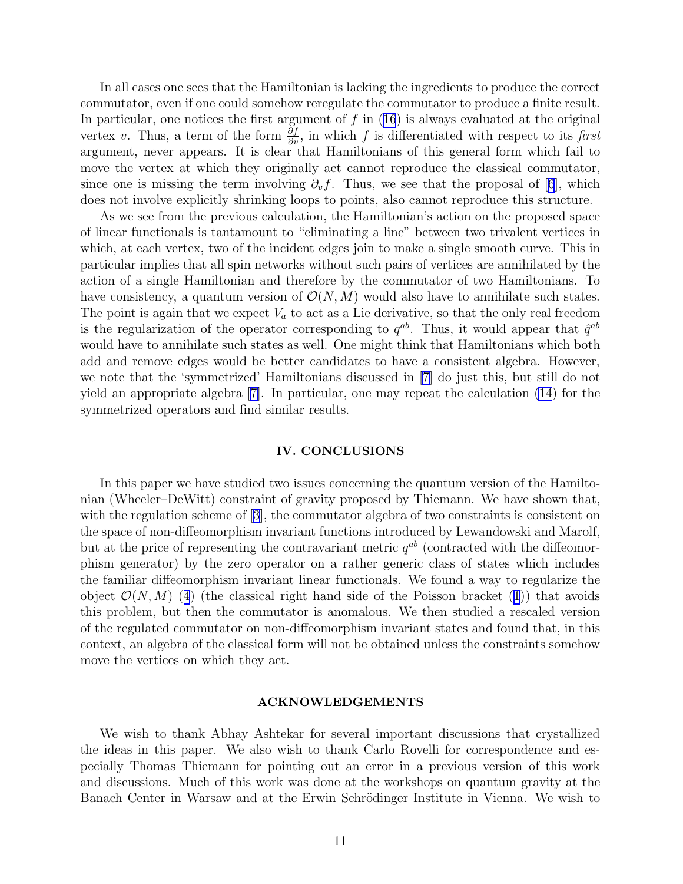In all cases one sees that the Hamiltonian is lacking the ingredients to produce the correct commutator, even if one could somehow reregulate the commutator to produce a finite result. Inparticular, one notices the first argument of  $f$  in  $(16)$  $(16)$  $(16)$  is always evaluated at the original vertex v. Thus, a term of the form  $\frac{\partial f}{\partial v}$ , in which f is differentiated with respect to its first argument, never appears. It is clear that Hamiltonians of this general form which fail to move the vertex at which they originally act cannot reproduce the classical commutator, sinceone is missing the term involving  $\partial_v f$ . Thus, we see that the proposal of [[6](#page-13-0)], which does not involve explicitly shrinking loops to points, also cannot reproduce this structure.

As we see from the previous calculation, the Hamiltonian's action on the proposed space of linear functionals is tantamount to "eliminating a line" between two trivalent vertices in which, at each vertex, two of the incident edges join to make a single smooth curve. This in particular implies that all spin networks without such pairs of vertices are annihilated by the action of a single Hamiltonian and therefore by the commutator of two Hamiltonians. To have consistency, a quantum version of  $\mathcal{O}(N, M)$  would also have to annihilate such states. The point is again that we expect  $V_a$  to act as a Lie derivative, so that the only real freedom is the regularization of the operator corresponding to  $q^{ab}$ . Thus, it would appear that  $\hat{q}^{ab}$ would have to annihilate such states as well. One might think that Hamiltonians which both add and remove edges would be better candidates to have a consistent algebra. However, we note that the 'symmetrized' Hamiltonians discussed in [\[7](#page-13-0)] do just this, but still do not yield an appropriate algebra[[7\]](#page-13-0). In particular, one may repeat the calculation [\(14](#page-9-0)) for the symmetrized operators and find similar results.

#### IV. CONCLUSIONS

In this paper we have studied two issues concerning the quantum version of the Hamiltonian (Wheeler–DeWitt) constraint of gravity proposed by Thiemann. We have shown that, with the regulation scheme of [\[3](#page-13-0)], the commutator algebra of two constraints is consistent on the space of non-diffeomorphism invariant functions introduced by Lewandowski and Marolf, but at the price of representing the contravariant metric  $q^{ab}$  (contracted with the diffeomorphism generator) by the zero operator on a rather generic class of states which includes the familiar diffeomorphism invariant linear functionals. We found a way to regularize the object $\mathcal{O}(N, M)$  ([4](#page-2-0)) (the classical right hand side of the Poisson bracket ([1](#page-2-0))) that avoids this problem, but then the commutator is anomalous. We then studied a rescaled version of the regulated commutator on non-diffeomorphism invariant states and found that, in this context, an algebra of the classical form will not be obtained unless the constraints somehow move the vertices on which they act.

#### ACKNOWLEDGEMENTS

We wish to thank Abhay Ashtekar for several important discussions that crystallized the ideas in this paper. We also wish to thank Carlo Rovelli for correspondence and especially Thomas Thiemann for pointing out an error in a previous version of this work and discussions. Much of this work was done at the workshops on quantum gravity at the Banach Center in Warsaw and at the Erwin Schrödinger Institute in Vienna. We wish to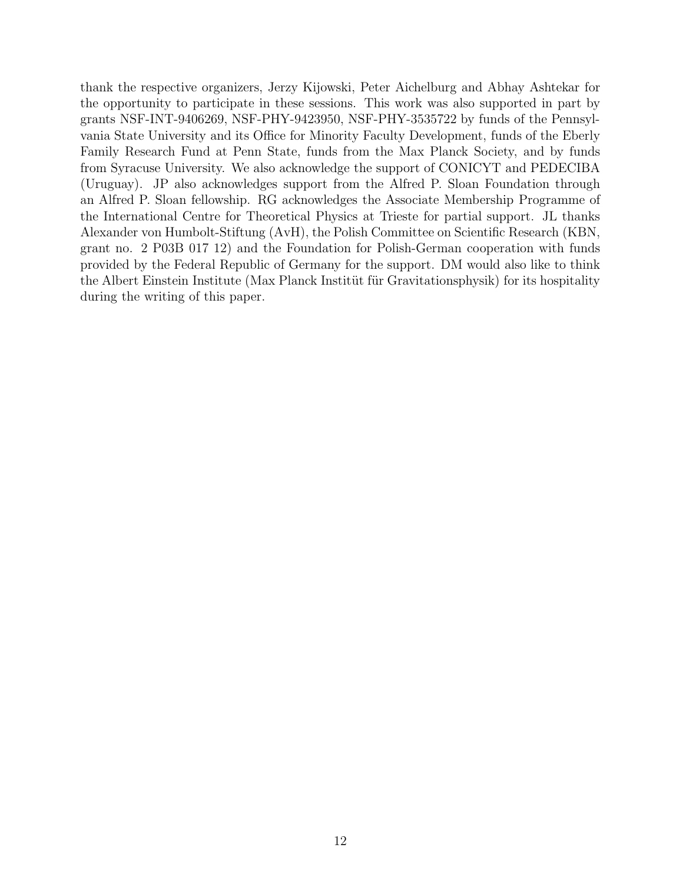thank the respective organizers, Jerzy Kijowski, Peter Aichelburg and Abhay Ashtekar for the opportunity to participate in these sessions. This work was also supported in part by grants NSF-INT-9406269, NSF-PHY-9423950, NSF-PHY-3535722 by funds of the Pennsylvania State University and its Office for Minority Faculty Development, funds of the Eberly Family Research Fund at Penn State, funds from the Max Planck Society, and by funds from Syracuse University. We also acknowledge the support of CONICYT and PEDECIBA (Uruguay). JP also acknowledges support from the Alfred P. Sloan Foundation through an Alfred P. Sloan fellowship. RG acknowledges the Associate Membership Programme of the International Centre for Theoretical Physics at Trieste for partial support. JL thanks Alexander von Humbolt-Stiftung (AvH), the Polish Committee on Scientific Research (KBN, grant no. 2 P03B 017 12) and the Foundation for Polish-German cooperation with funds provided by the Federal Republic of Germany for the support. DM would also like to think the Albert Einstein Institute (Max Planck Institut für Gravitationsphysik) for its hospitality during the writing of this paper.